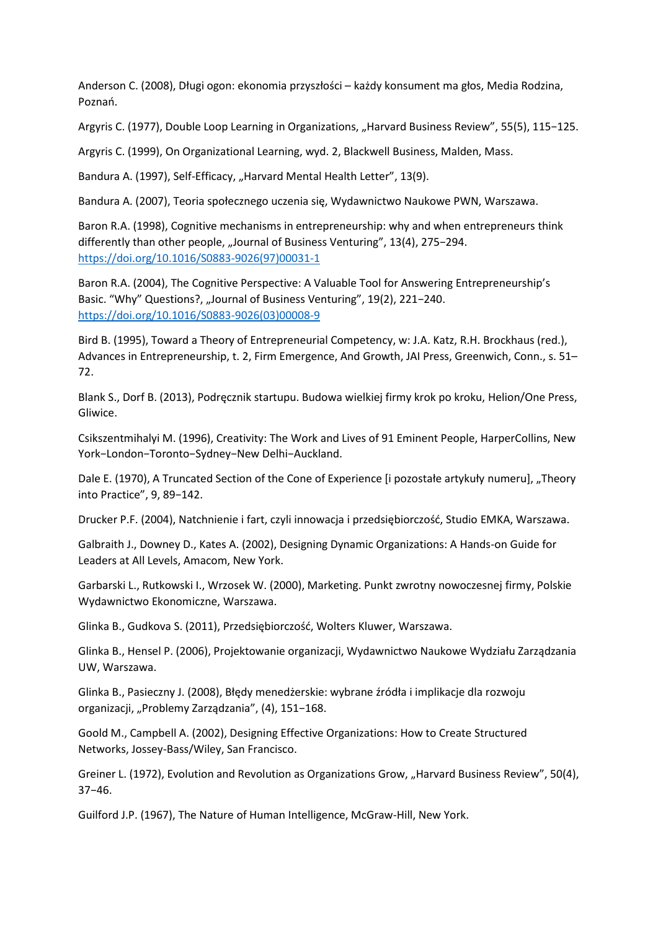Anderson C. (2008), Długi ogon: ekonomia przyszłości – każdy konsument ma głos, Media Rodzina, Poznań.

Argyris C. (1977), Double Loop Learning in Organizations, "Harvard Business Review", 55(5), 115−125.

Argyris C. (1999), On Organizational Learning, wyd. 2, Blackwell Business, Malden, Mass.

Bandura A. (1997), Self-Efficacy, "Harvard Mental Health Letter", 13(9).

Bandura A. (2007), Teoria społecznego uczenia się, Wydawnictwo Naukowe PWN, Warszawa.

Baron R.A. (1998), Cognitive mechanisms in entrepreneurship: why and when entrepreneurs think differently than other people, "Journal of Business Venturing", 13(4), 275-294. [https://doi.org/10.1016/S0883-9026\(97\)00031-1](https://doi.org/10.1016/S0883-9026(97)00031-1)

Baron R.A. (2004), The Cognitive Perspective: A Valuable Tool for Answering Entrepreneurship's Basic. "Why" Questions?, "Journal of Business Venturing", 19(2), 221-240. [https://doi.org/10.1016/S0883-9026\(03\)00008-9](https://doi.org/10.1016/S0883-9026(03)00008-9)

Bird B. (1995), Toward a Theory of Entrepreneurial Competency, w: J.A. Katz, R.H. Brockhaus (red.), Advances in Entrepreneurship, t. 2, Firm Emergence, And Growth, JAI Press, Greenwich, Conn., s. 51– 72.

Blank S., Dorf B. (2013), Podręcznik startupu. Budowa wielkiej firmy krok po kroku, Helion/One Press, Gliwice.

Csikszentmihalyi M. (1996), Creativity: The Work and Lives of 91 Eminent People, HarperCollins, New York−London−Toronto−Sydney−New Delhi−Auckland.

Dale E. (1970), A Truncated Section of the Cone of Experience [i pozostałe artykuły numeru], "Theory into Practice", 9, 89−142.

Drucker P.F. (2004), Natchnienie i fart, czyli innowacja i przedsiębiorczość, Studio EMKA, Warszawa.

Galbraith J., Downey D., Kates A. (2002), Designing Dynamic Organizations: A Hands-on Guide for Leaders at All Levels, Amacom, New York.

Garbarski L., Rutkowski I., Wrzosek W. (2000), Marketing. Punkt zwrotny nowoczesnej firmy, Polskie Wydawnictwo Ekonomiczne, Warszawa.

Glinka B., Gudkova S. (2011), Przedsiębiorczość, Wolters Kluwer, Warszawa.

Glinka B., Hensel P. (2006), Projektowanie organizacji, Wydawnictwo Naukowe Wydziału Zarządzania UW, Warszawa.

Glinka B., Pasieczny J. (2008), Błędy menedżerskie: wybrane źródła i implikacje dla rozwoju organizacji, "Problemy Zarządzania", (4), 151−168.

Goold M., Campbell A. (2002), Designing Effective Organizations: How to Create Structured Networks, Jossey-Bass/Wiley, San Francisco.

Greiner L. (1972), Evolution and Revolution as Organizations Grow, "Harvard Business Review", 50(4), 37−46.

Guilford J.P. (1967), The Nature of Human Intelligence, McGraw-Hill, New York.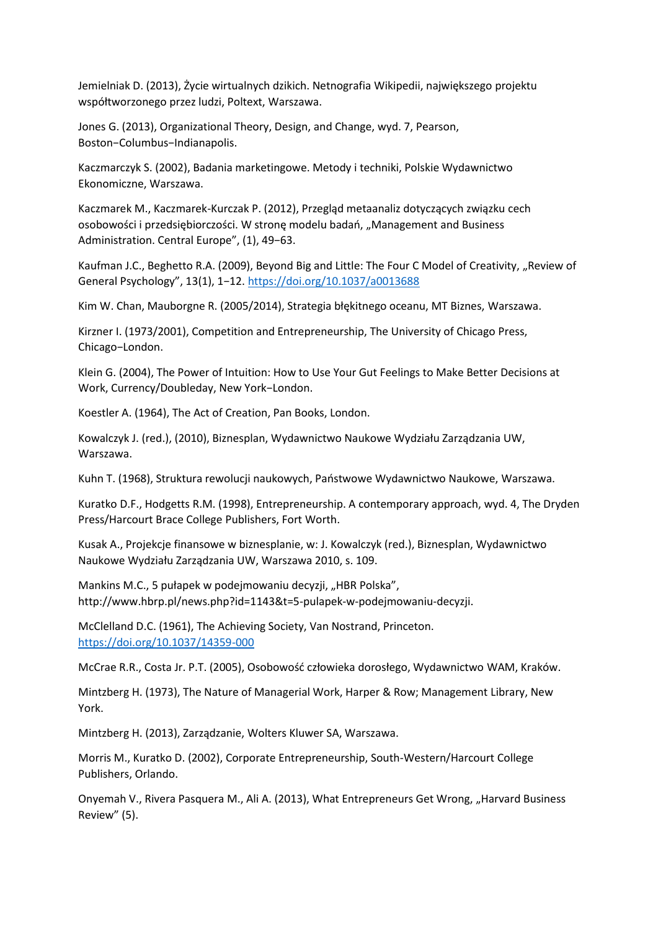Jemielniak D. (2013), Życie wirtualnych dzikich. Netnografia Wikipedii, największego projektu współtworzonego przez ludzi, Poltext, Warszawa.

Jones G. (2013), Organizational Theory, Design, and Change, wyd. 7, Pearson, Boston−Columbus−Indianapolis.

Kaczmarczyk S. (2002), Badania marketingowe. Metody i techniki, Polskie Wydawnictwo Ekonomiczne, Warszawa.

Kaczmarek M., Kaczmarek-Kurczak P. (2012), Przegląd metaanaliz dotyczących związku cech osobowości i przedsiębiorczości. W stronę modelu badań, "Management and Business Administration. Central Europe", (1), 49−63.

Kaufman J.C., Beghetto R.A. (2009), Beyond Big and Little: The Four C Model of Creativity, "Review of General Psychology", 13(1), 1−12. <https://doi.org/10.1037/a0013688>

Kim W. Chan, Mauborgne R. (2005/2014), Strategia błękitnego oceanu, MT Biznes, Warszawa.

Kirzner I. (1973/2001), Competition and Entrepreneurship, The University of Chicago Press, Chicago−London.

Klein G. (2004), The Power of Intuition: How to Use Your Gut Feelings to Make Better Decisions at Work, Currency/Doubleday, New York−London.

Koestler A. (1964), The Act of Creation, Pan Books, London.

Kowalczyk J. (red.), (2010), Biznesplan, Wydawnictwo Naukowe Wydziału Zarządzania UW, Warszawa.

Kuhn T. (1968), Struktura rewolucji naukowych, Państwowe Wydawnictwo Naukowe, Warszawa.

Kuratko D.F., Hodgetts R.M. (1998), Entrepreneurship. A contemporary approach, wyd. 4, The Dryden Press/Harcourt Brace College Publishers, Fort Worth.

Kusak A., Projekcje finansowe w biznesplanie, w: J. Kowalczyk (red.), Biznesplan, Wydawnictwo Naukowe Wydziału Zarządzania UW, Warszawa 2010, s. 109.

Mankins M.C., 5 pułapek w podejmowaniu decyzji, "HBR Polska", http://www.hbrp.pl/news.php?id=1143&t=5-pulapek-w-podejmowaniu-decyzji.

McClelland D.C. (1961), The Achieving Society, Van Nostrand, Princeton. <https://doi.org/10.1037/14359-000>

McCrae R.R., Costa Jr. P.T. (2005), Osobowość człowieka dorosłego, Wydawnictwo WAM, Kraków.

Mintzberg H. (1973), The Nature of Managerial Work, Harper & Row; Management Library, New York.

Mintzberg H. (2013), Zarządzanie, Wolters Kluwer SA, Warszawa.

Morris M., Kuratko D. (2002), Corporate Entrepreneurship, South-Western/Harcourt College Publishers, Orlando.

Onyemah V., Rivera Pasquera M., Ali A. (2013), What Entrepreneurs Get Wrong, "Harvard Business Review" (5).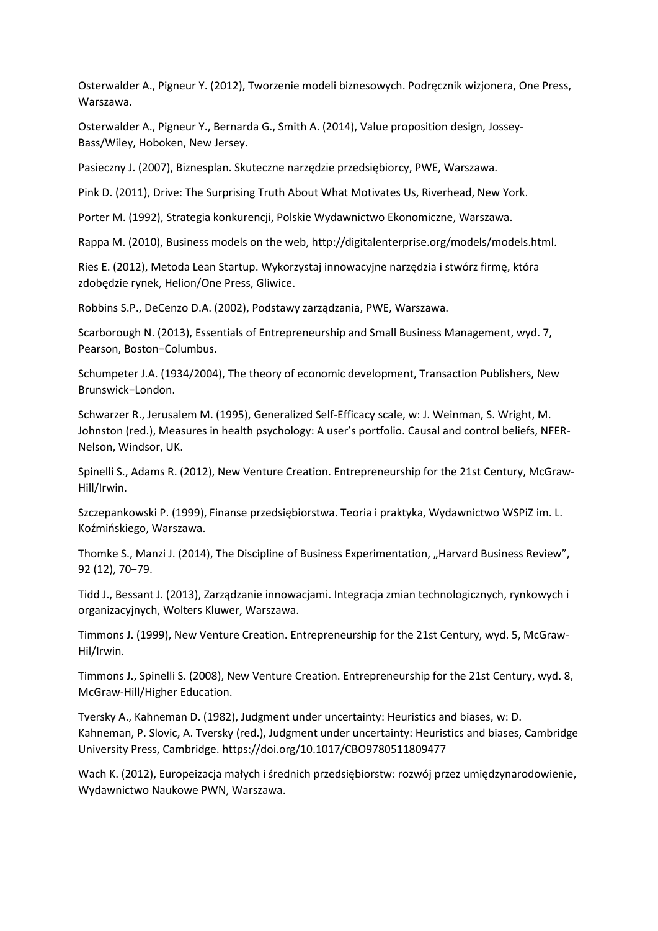Osterwalder A., Pigneur Y. (2012), Tworzenie modeli biznesowych. Podręcznik wizjonera, One Press, Warszawa.

Osterwalder A., Pigneur Y., Bernarda G., Smith A. (2014), Value proposition design, Jossey-Bass/Wiley, Hoboken, New Jersey.

Pasieczny J. (2007), Biznesplan. Skuteczne narzędzie przedsiębiorcy, PWE, Warszawa.

Pink D. (2011), Drive: The Surprising Truth About What Motivates Us, Riverhead, New York.

Porter M. (1992), Strategia konkurencji, Polskie Wydawnictwo Ekonomiczne, Warszawa.

Rappa M. (2010), Business models on the web, http://digitalenterprise.org/models/models.html.

Ries E. (2012), Metoda Lean Startup. Wykorzystaj innowacyjne narzędzia i stwórz firmę, która zdobędzie rynek, Helion/One Press, Gliwice.

Robbins S.P., DeCenzo D.A. (2002), Podstawy zarządzania, PWE, Warszawa.

Scarborough N. (2013), Essentials of Entrepreneurship and Small Business Management, wyd. 7, Pearson, Boston−Columbus.

Schumpeter J.A. (1934/2004), The theory of economic development, Transaction Publishers, New Brunswick−London.

Schwarzer R., Jerusalem M. (1995), Generalized Self-Efficacy scale, w: J. Weinman, S. Wright, M. Johnston (red.), Measures in health psychology: A user's portfolio. Causal and control beliefs, NFER-Nelson, Windsor, UK.

Spinelli S., Adams R. (2012), New Venture Creation. Entrepreneurship for the 21st Century, McGraw-Hill/Irwin.

Szczepankowski P. (1999), Finanse przedsiębiorstwa. Teoria i praktyka, Wydawnictwo WSPiZ im. L. Koźmińskiego, Warszawa.

Thomke S., Manzi J. (2014), The Discipline of Business Experimentation, "Harvard Business Review", 92 (12), 70−79.

Tidd J., Bessant J. (2013), Zarządzanie innowacjami. Integracja zmian technologicznych, rynkowych i organizacyjnych, Wolters Kluwer, Warszawa.

Timmons J. (1999), New Venture Creation. Entrepreneurship for the 21st Century, wyd. 5, McGraw-Hil/Irwin.

Timmons J., Spinelli S. (2008), New Venture Creation. Entrepreneurship for the 21st Century, wyd. 8, McGraw-Hill/Higher Education.

Tversky A., Kahneman D. (1982), Judgment under uncertainty: Heuristics and biases, w: D. Kahneman, P. Slovic, A. Tversky (red.), Judgment under uncertainty: Heuristics and biases, Cambridge University Press, Cambridge. https://doi.org/10.1017/CBO9780511809477

Wach K. (2012), Europeizacja małych i średnich przedsiębiorstw: rozwój przez umiędzynarodowienie, Wydawnictwo Naukowe PWN, Warszawa.